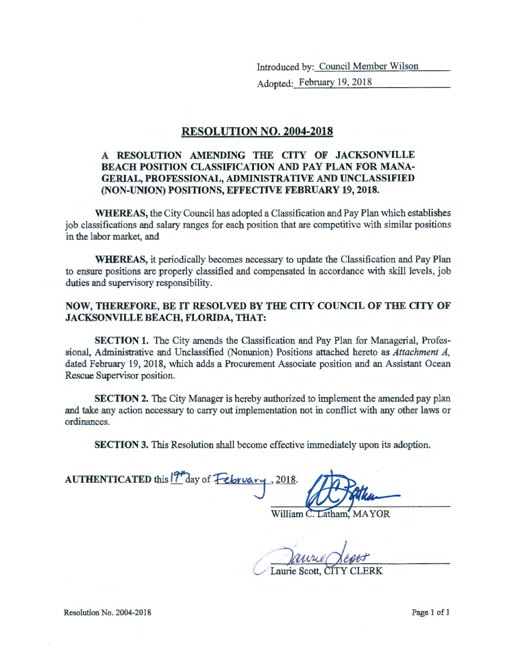Introduced by: Council Member Wilson

Adopted: February 19, 2018

#### RESOLUTION NO. 2004-2018

#### A RESOLUTION AMENDING THE CITY OF JACKSONVILLE BEACH POSITION CLASSIFICATION AND PAY PLAN FOR MANA-GERIAL, PROFESSIONAL, ADMINISTRATIVE AND UNCLASSIFIED (NON-UNION) POSITIONS, EFFECTIVE FEBRUARY 19, 2018.

WHEREAS, the City Council has adopted a Classification and Pay Plan which establishes job classifications and salary ranges for each position that are competitive with similar positions in the labor market, and

WHEREAS, it periodically becomes necessary to update the Classification and Pay Plan to ensure positions are properly classified and compensated in accordance with skill levels, job duties and supervisory responsibility.

#### NOW, THEREFORE, BE IT RESOLVED BY THE CITY COUNCIL OF THE CITY OF JACKSONVILLE BEACH, FLORIDA, THAT:

SECTION 1. The City amends the Classification and Pay Plan for Managerial, Professional, Administrative and Unclassified (Nonunion) Positions attached hereto as *Attachment A,*  dated February 19, 2018, which adds a Procurement Associate position and an Assistant Ocean Rescue Supervisor position.

SECTION 2. The City Manager is hereby authorized to implement the amended pay plan and take any action necessary to carry out implementation not in conflict with any other laws or ordinances.

SECTION 3. This Resolution shall become effective immediately upon its adoption.

AUTHENTICATED this 19<sup>th</sup> day of February

William C. Latham, MAYOR

Laurie Scott, CITY CLERK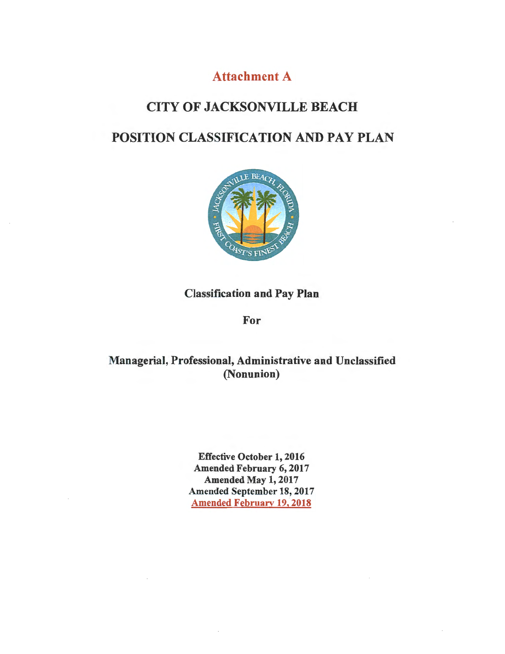# Attachment A

## CITY OF JACKSONVILLE BEACH

# POSITION CLASSIFICATION AND PAY PLAN



## Classification and Pay Plan

For

## Managerial, Professional, Administrative and Unclassified (Nonunion)

Effective October 1, 2016 Amended February 6, 2017 Amended May 1, 2017 Amended September 18, 2017 Amended February 19, 2018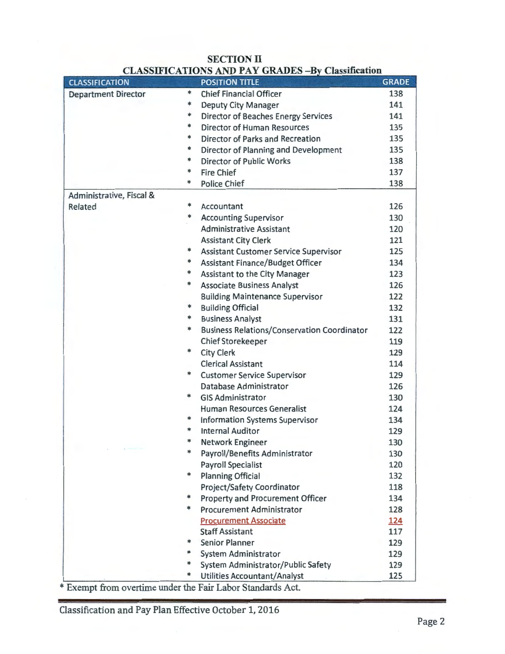| <b>CLASSIFICATION</b>      | <b>POSITION TITLE</b>                                   | <b>GRADE</b> |
|----------------------------|---------------------------------------------------------|--------------|
| <b>Department Director</b> | *<br><b>Chief Financial Officer</b>                     | 138          |
|                            | *<br><b>Deputy City Manager</b>                         | 141          |
|                            | *<br><b>Director of Beaches Energy Services</b>         | 141          |
|                            | *<br><b>Director of Human Resources</b>                 | 135          |
|                            | *<br>Director of Parks and Recreation                   | 135          |
|                            | *<br>Director of Planning and Development               | 135          |
|                            | *<br><b>Director of Public Works</b>                    | 138          |
|                            | *<br><b>Fire Chief</b>                                  | 137          |
|                            | *<br><b>Police Chief</b>                                | 138          |
| Administrative, Fiscal &   |                                                         |              |
| Related                    | ∗<br>Accountant                                         | 126          |
|                            | *<br><b>Accounting Supervisor</b>                       | 130          |
|                            | <b>Administrative Assistant</b>                         | 120          |
|                            | <b>Assistant City Clerk</b>                             | 121          |
|                            | *<br>Assistant Customer Service Supervisor              | 125          |
|                            | *<br>Assistant Finance/Budget Officer                   | 134          |
|                            | ∗<br>Assistant to the City Manager                      | 123          |
|                            | *<br><b>Associate Business Analyst</b>                  | 126          |
|                            | <b>Building Maintenance Supervisor</b>                  | 122          |
|                            | *<br><b>Building Official</b>                           | 132          |
|                            | *<br><b>Business Analyst</b>                            | 131          |
|                            | *<br><b>Business Relations/Conservation Coordinator</b> | 122          |
|                            |                                                         |              |
|                            | <b>Chief Storekeeper</b><br>*                           | 119          |
|                            | <b>City Clerk</b>                                       | 129          |
|                            | <b>Clerical Assistant</b>                               | 114          |
|                            | *<br><b>Customer Service Supervisor</b>                 | 129          |
|                            | Database Administrator                                  | 126          |
|                            | *<br><b>GIS Administrator</b>                           | 130          |
|                            | Human Resources Generalist                              | 124          |
|                            | *<br><b>Information Systems Supervisor</b>              | 134          |
|                            | *<br><b>Internal Auditor</b>                            | 129          |
|                            | *<br>Network Engineer                                   | 130          |
|                            | Payroll/Benefits Administrator                          | 130          |
|                            | <b>Payroll Specialist</b>                               | 120          |
|                            | *<br><b>Planning Official</b>                           | 132          |
|                            | Project/Safety Coordinator                              | 118          |
|                            | *<br>Property and Procurement Officer                   | 134          |
|                            | *<br><b>Procurement Administrator</b>                   | 128          |
|                            | <b>Procurement Associate</b>                            | 124          |
|                            | <b>Staff Assistant</b>                                  | 117          |
|                            | ∗<br><b>Senior Planner</b>                              | 129          |
|                            | ∗<br>System Administrator                               | 129          |
|                            | ∗<br>System Administrator/Public Safety                 | 129          |
|                            | ∗<br><b>Utilities Accountant/Analyst</b>                | 125          |

#### SECTION II CLASSIFICATIONS AND PAY GRADES - By Classification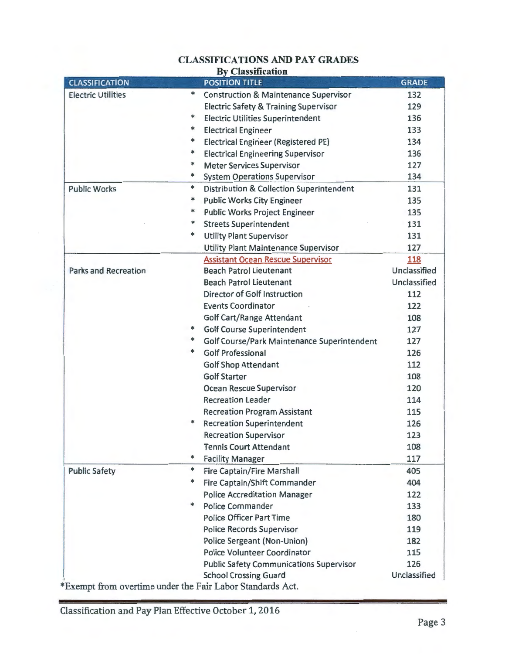## CLASSIFICATIONS AND PAY GRADES

|  | <b>By Classification</b> |  |
|--|--------------------------|--|
|--|--------------------------|--|

| <b>CLASSIFICATION</b>                                     |        | <b>POSITION TITLE</b>                            | <b>GRADE</b> |
|-----------------------------------------------------------|--------|--------------------------------------------------|--------------|
| <b>Electric Utilities</b>                                 | *      | <b>Construction &amp; Maintenance Supervisor</b> | 132          |
|                                                           |        | <b>Electric Safety &amp; Training Supervisor</b> | 129          |
|                                                           | *      | <b>Electric Utilities Superintendent</b>         | 136          |
|                                                           | *      | <b>Electrical Engineer</b>                       | 133          |
|                                                           | *      | <b>Electrical Engineer (Registered PE)</b>       | 134          |
|                                                           | $\ast$ | <b>Electrical Engineering Supervisor</b>         | 136          |
|                                                           | *      | <b>Meter Services Supervisor</b>                 | 127          |
|                                                           | *      | <b>System Operations Supervisor</b>              | 134          |
| <b>Public Works</b>                                       | *      | Distribution & Collection Superintendent         | 131          |
|                                                           | *      | <b>Public Works City Engineer</b>                | 135          |
|                                                           | *      | <b>Public Works Project Engineer</b>             | 135          |
|                                                           | $\ast$ | <b>Streets Superintendent</b>                    | 131          |
|                                                           | *      | <b>Utility Plant Supervisor</b>                  | 131          |
|                                                           |        | Utility Plant Maintenance Supervisor             | 127          |
|                                                           |        | <b>Assistant Ocean Rescue Supervisor</b>         | 118          |
| <b>Parks and Recreation</b>                               |        | <b>Beach Patrol Lieutenant</b>                   | Unclassified |
|                                                           |        | <b>Beach Patrol Lieutenant</b>                   | Unclassified |
|                                                           |        | <b>Director of Golf Instruction</b>              | 112          |
|                                                           |        | <b>Events Coordinator</b>                        | 122          |
|                                                           |        | <b>Golf Cart/Range Attendant</b>                 | 108          |
|                                                           | *      | <b>Golf Course Superintendent</b>                | 127          |
|                                                           | *      | Golf Course/Park Maintenance Superintendent      | 127          |
|                                                           | *      | <b>Golf Professional</b>                         | 126          |
|                                                           |        | <b>Golf Shop Attendant</b>                       | 112          |
|                                                           |        | <b>Golf Starter</b>                              | 108          |
|                                                           |        | Ocean Rescue Supervisor                          | 120          |
|                                                           |        | <b>Recreation Leader</b>                         | 114          |
|                                                           |        | <b>Recreation Program Assistant</b>              | 115          |
|                                                           | *      | <b>Recreation Superintendent</b>                 | 126          |
|                                                           |        | Recreation Supervisor                            | 123          |
|                                                           |        | <b>Tennis Court Attendant</b>                    | 108          |
|                                                           | ∗      | <b>Facility Manager</b>                          | 117          |
| <b>Public Safety</b>                                      | $\ast$ | <b>Fire Captain/Fire Marshall</b>                | 405          |
|                                                           | *      | Fire Captain/Shift Commander                     | 404          |
|                                                           |        | <b>Police Accreditation Manager</b>              | 122          |
|                                                           | *      | <b>Police Commander</b>                          | 133          |
|                                                           |        | <b>Police Officer Part Time</b>                  | 180          |
|                                                           |        | <b>Police Records Supervisor</b>                 | 119          |
|                                                           |        | Police Sergeant (Non-Union)                      | 182          |
|                                                           |        | Police Volunteer Coordinator                     | 115          |
|                                                           |        | <b>Public Safety Communications Supervisor</b>   | 126          |
|                                                           |        | <b>School Crossing Guard</b>                     | Unclassified |
| *Exempt from overtime under the Fair Labor Standards Act. |        |                                                  |              |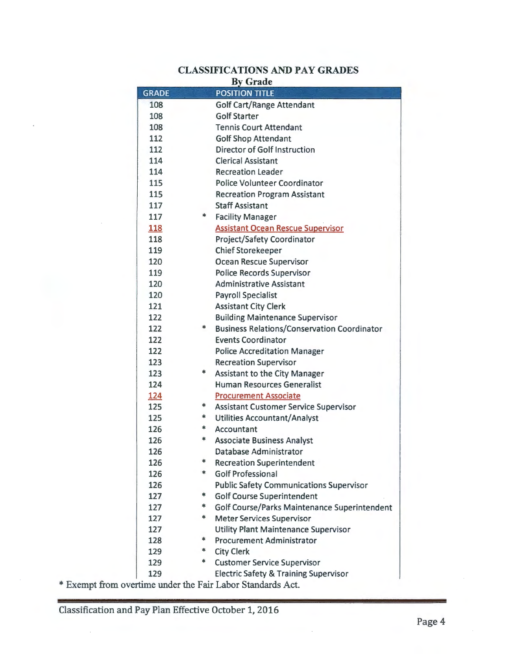# CLASSIFICATIONS AND PAY GRADES

|              |    | <b>By Grade</b>                                                                 |
|--------------|----|---------------------------------------------------------------------------------|
| <b>GRADE</b> |    | <b>POSITION TITLE</b>                                                           |
| 108          |    | <b>Golf Cart/Range Attendant</b>                                                |
| 108          |    | <b>Golf Starter</b>                                                             |
| 108          |    | <b>Tennis Court Attendant</b>                                                   |
| 112          |    | <b>Golf Shop Attendant</b>                                                      |
| 112          |    | <b>Director of Golf Instruction</b>                                             |
| 114          |    | <b>Clerical Assistant</b>                                                       |
| 114          |    | <b>Recreation Leader</b>                                                        |
| 115          |    | <b>Police Volunteer Coordinator</b>                                             |
| 115          |    | <b>Recreation Program Assistant</b>                                             |
| 117          |    | <b>Staff Assistant</b>                                                          |
| 117          | *  | <b>Facility Manager</b>                                                         |
| <b>118</b>   |    | <b>Assistant Ocean Rescue Supervisor</b>                                        |
| 118          |    | Project/Safety Coordinator                                                      |
| 119          |    | <b>Chief Storekeeper</b>                                                        |
| 120          |    | Ocean Rescue Supervisor                                                         |
| 119          |    | <b>Police Records Supervisor</b>                                                |
| 120          |    | <b>Administrative Assistant</b>                                                 |
| 120          |    | <b>Payroll Specialist</b>                                                       |
| 121          |    | <b>Assistant City Clerk</b>                                                     |
| 122          |    | <b>Building Maintenance Supervisor</b>                                          |
| 122          | *  | <b>Business Relations/Conservation Coordinator</b>                              |
| 122          |    | <b>Events Coordinator</b>                                                       |
| 122          |    | <b>Police Accreditation Manager</b>                                             |
| 123          |    | <b>Recreation Supervisor</b>                                                    |
| 123          | *  | <b>Assistant to the City Manager</b>                                            |
| 124          |    | <b>Human Resources Generalist</b>                                               |
| 124          |    | <b>Procurement Associate</b>                                                    |
| 125          | *. | <b>Assistant Customer Service Supervisor</b>                                    |
| 125          | *. | <b>Utilities Accountant/Analyst</b>                                             |
| 126          | *. | Accountant                                                                      |
| 126          | *  | <b>Associate Business Analyst</b>                                               |
| 126          | *  | Database Administrator                                                          |
| 126          | *. | <b>Recreation Superintendent</b>                                                |
| 126          |    | <b>Golf Professional</b>                                                        |
| 126          | *  | <b>Public Safety Communications Supervisor</b>                                  |
| 127          | *  | <b>Golf Course Superintendent</b>                                               |
| 127          | *  | Golf Course/Parks Maintenance Superintendent                                    |
| 127          |    | <b>Meter Services Supervisor</b>                                                |
| 127<br>128   | *  | <b>Utility Plant Maintenance Supervisor</b><br><b>Procurement Administrator</b> |
| 129          | *  | <b>City Clerk</b>                                                               |
| 129          | *  | <b>Customer Service Supervisor</b>                                              |
| 129          |    |                                                                                 |
|              |    | <b>Electric Safety &amp; Training Supervisor</b>                                |

\*Exempt from overtime under the Fair Labor Standards Act.